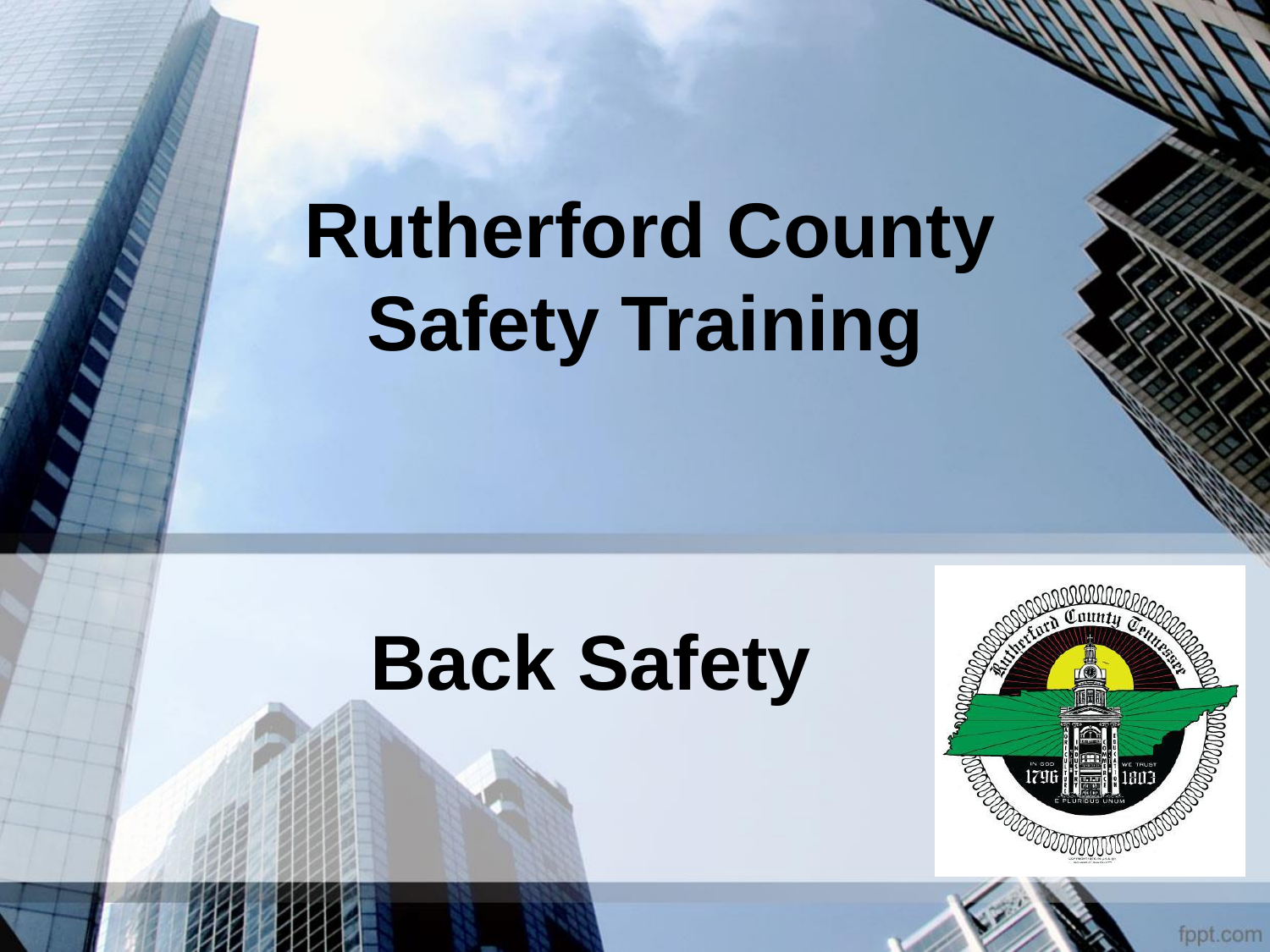# **Rutherford County Safety Training**

## **Back Safety**



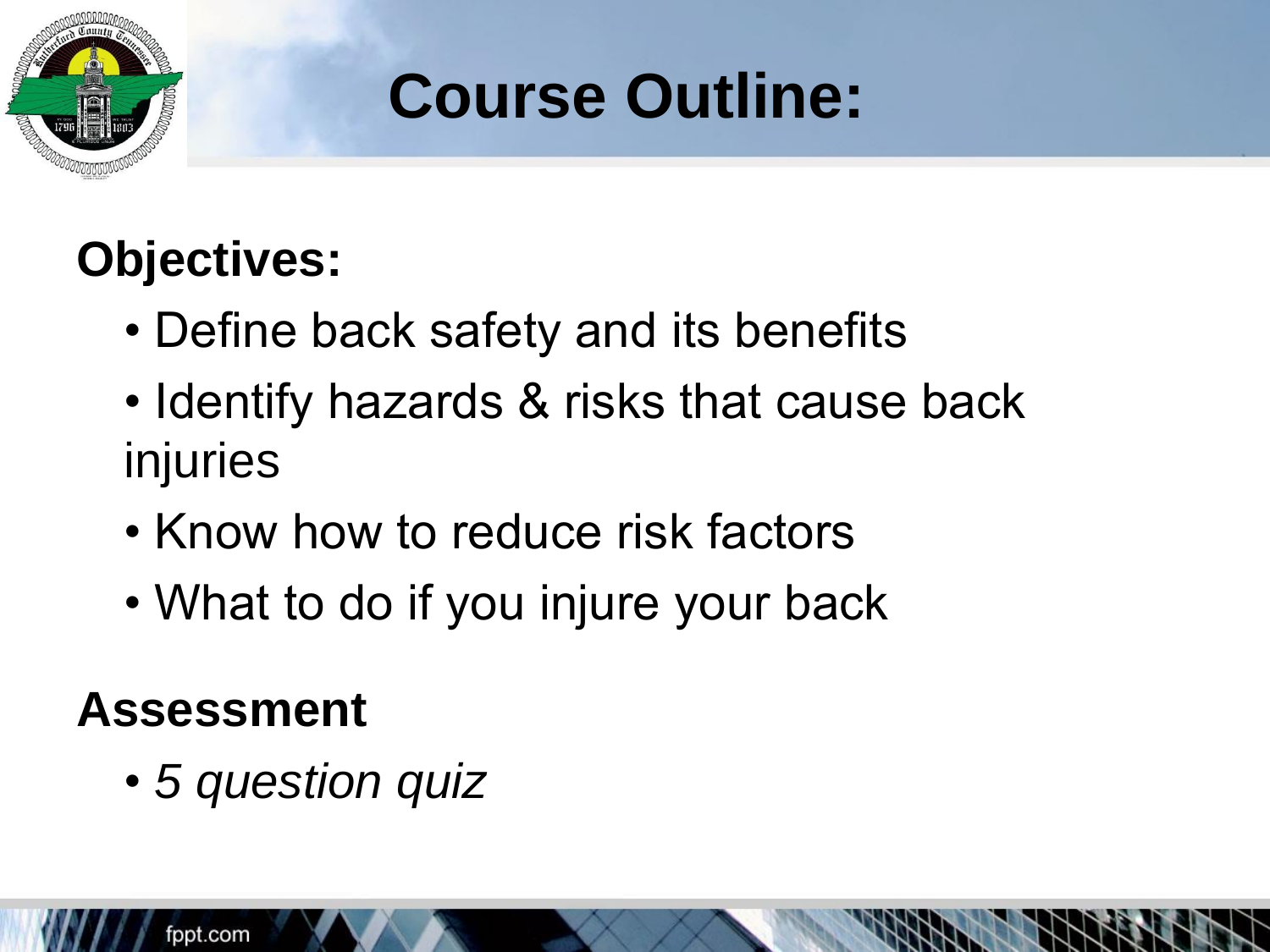

## **Course Outline:**

### **Objectives:**

- Define back safety and its benefits
- Identify hazards & risks that cause back injuries
- Know how to reduce risk factors
- What to do if you injure your back

#### **Assessment**

• *5 question quiz*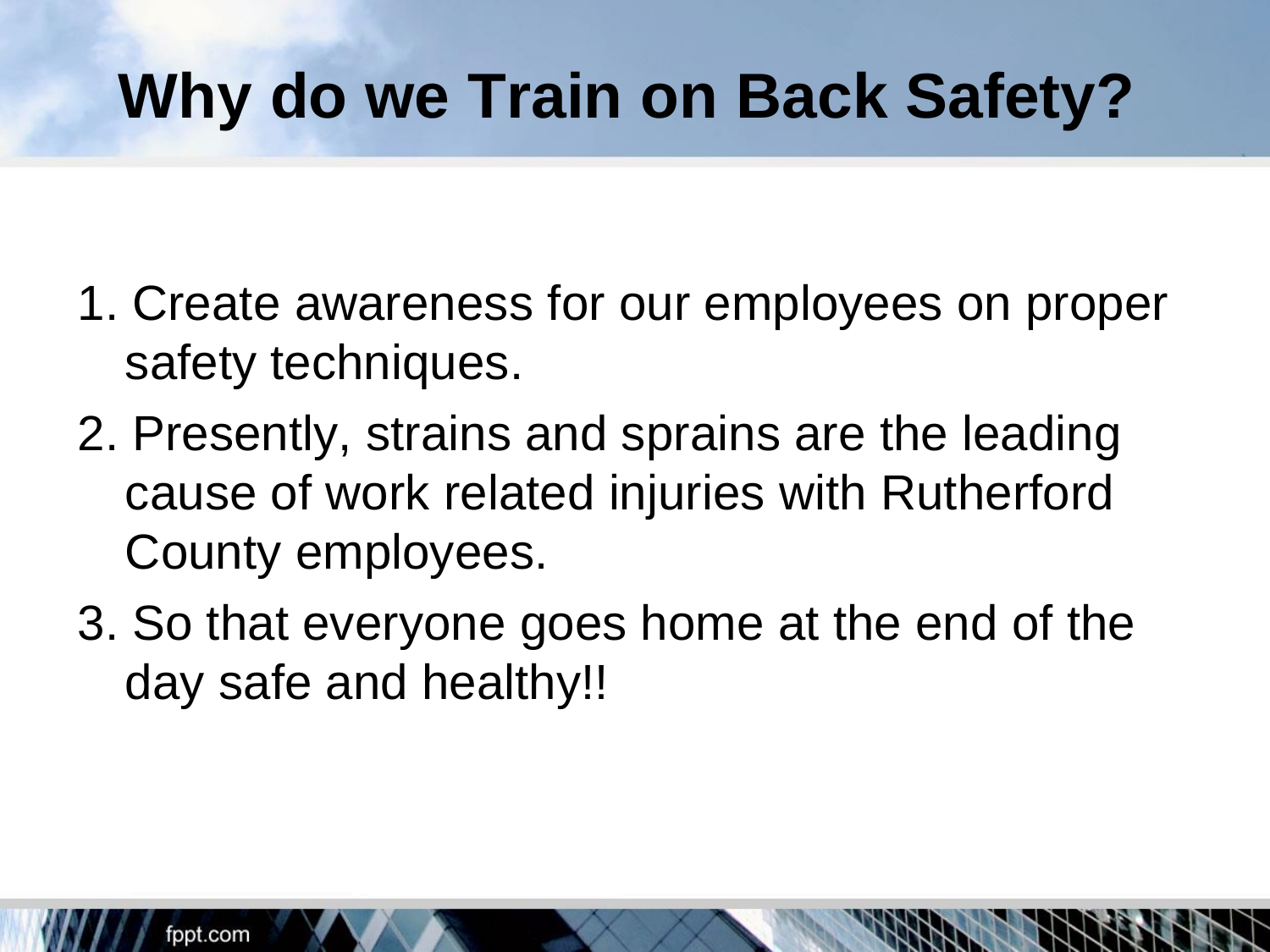## **Why do we Train on Back Safety?**

- 1. Create awareness for our employees on proper safety techniques.
- 2. Presently, strains and sprains are the leading cause of work related injuries with Rutherford County employees.
- 3. So that everyone goes home at the end of the day safe and healthy!!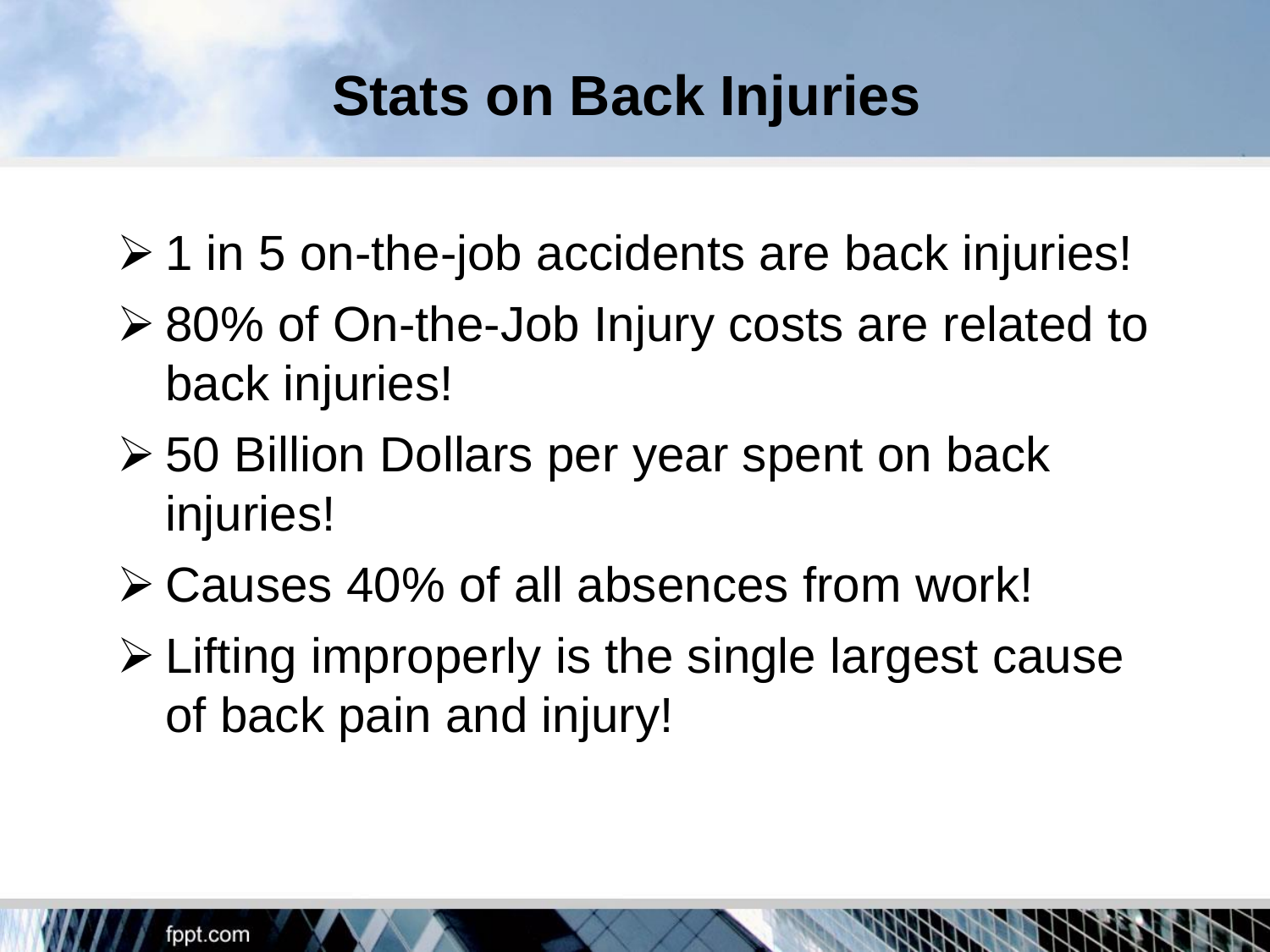### **Stats on Back Injuries**

- $\geq 1$  in 5 on-the-job accidents are back injuries!
- ➢ 80% of On-the-Job Injury costs are related to back injuries!
- ➢ 50 Billion Dollars per year spent on back injuries!
- ➢ Causes 40% of all absences from work!
- ➢ Lifting improperly is the single largest cause of back pain and injury!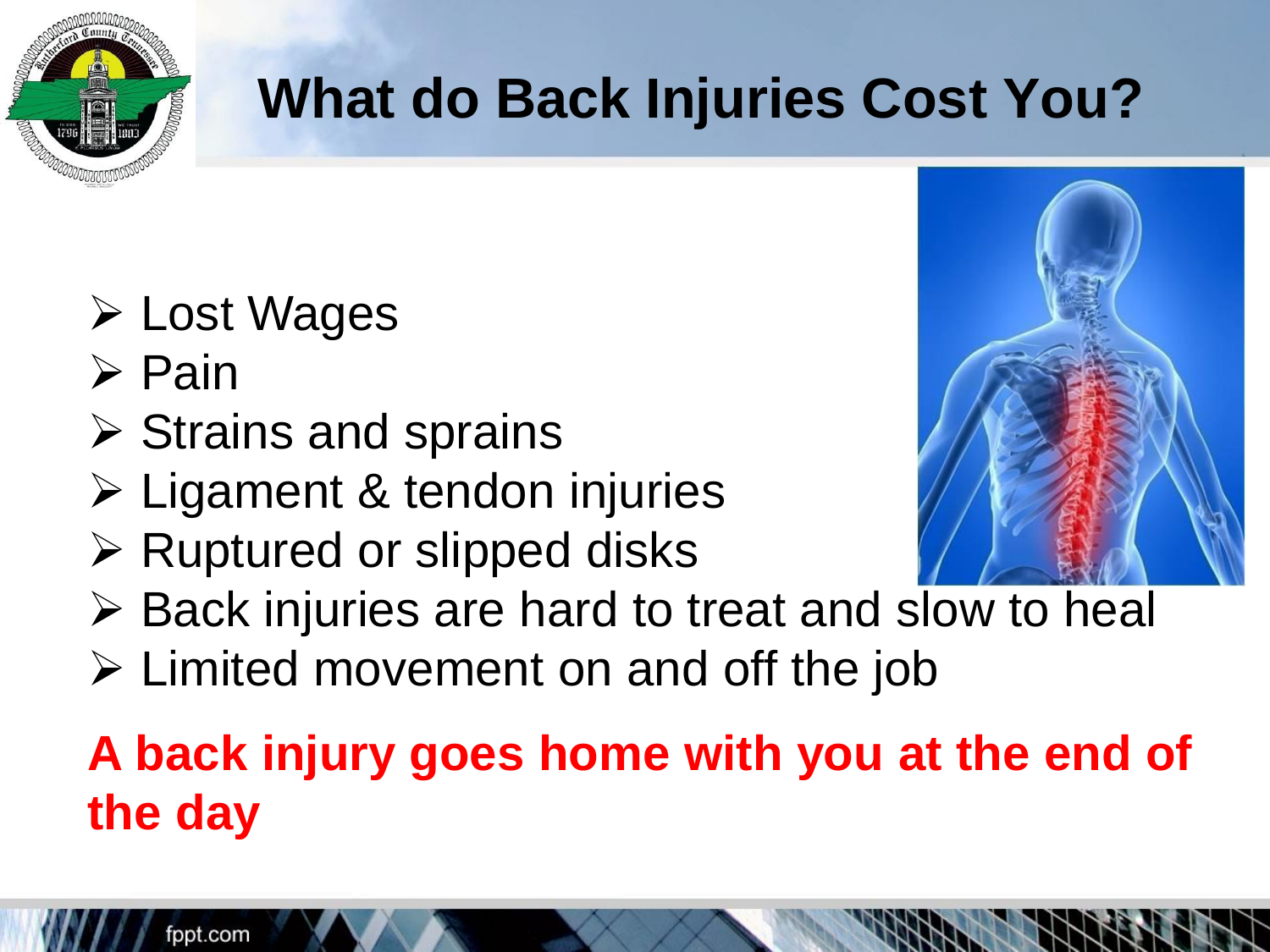

### **What do Back Injuries Cost You?**

- ➢ Lost Wages
- ➢ Pain
- ➢ Strains and sprains
- ➢ Ligament & tendon injuries
- ➢ Ruptured or slipped disks
- ➢ Back injuries are hard to treat and slow to heal
- ➢ Limited movement on and off the job

### **A back injury goes home with you at the end of the day**



fppt.com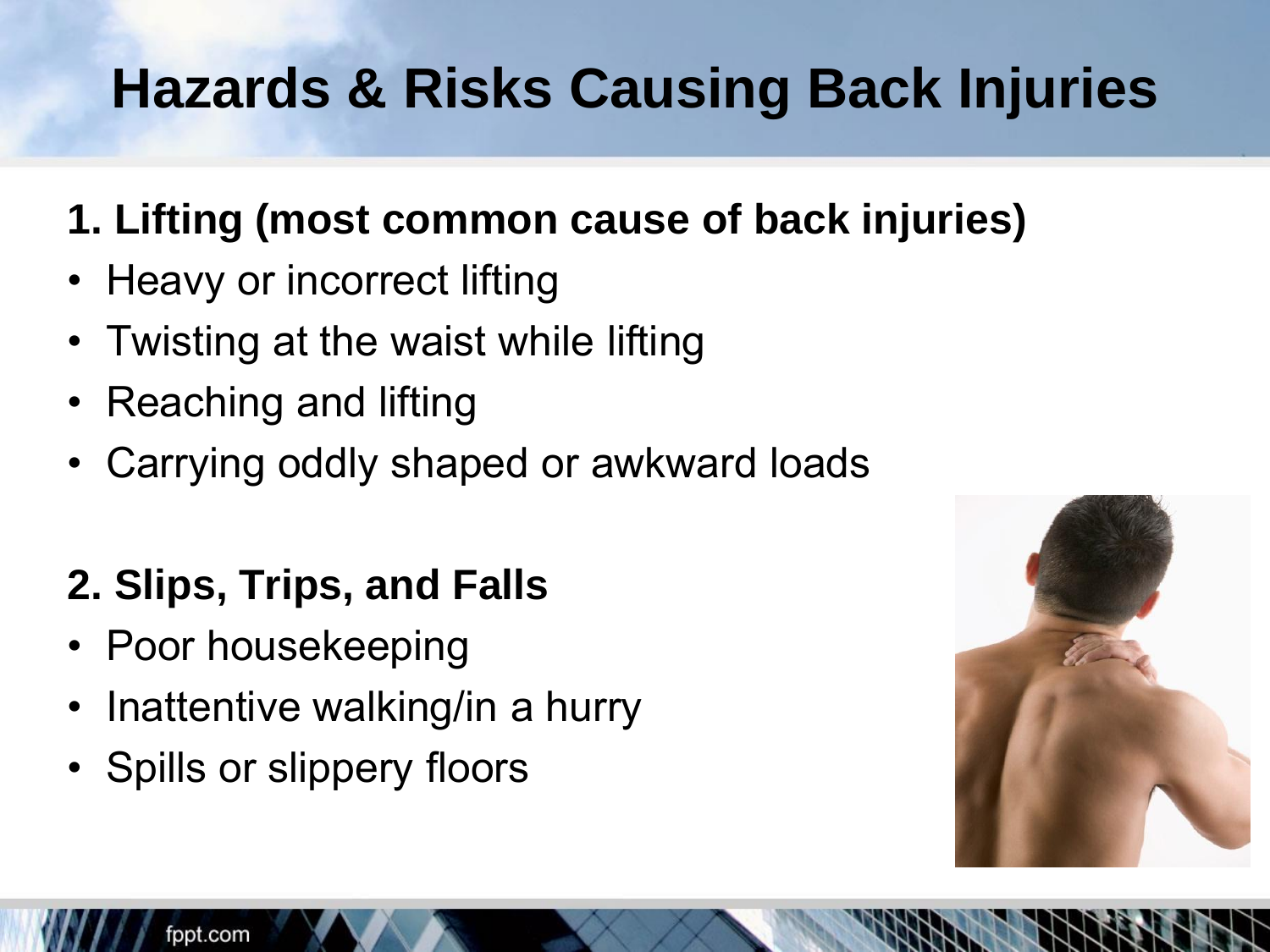## **Hazards & Risks Causing Back Injuries**

- **1. Lifting (most common cause of back injuries)**
- Heavy or incorrect lifting
- Twisting at the waist while lifting
- Reaching and lifting
- Carrying oddly shaped or awkward loads

#### **2. Slips, Trips, and Falls**

- Poor housekeeping
- Inattentive walking/in a hurry
- Spills or slippery floors

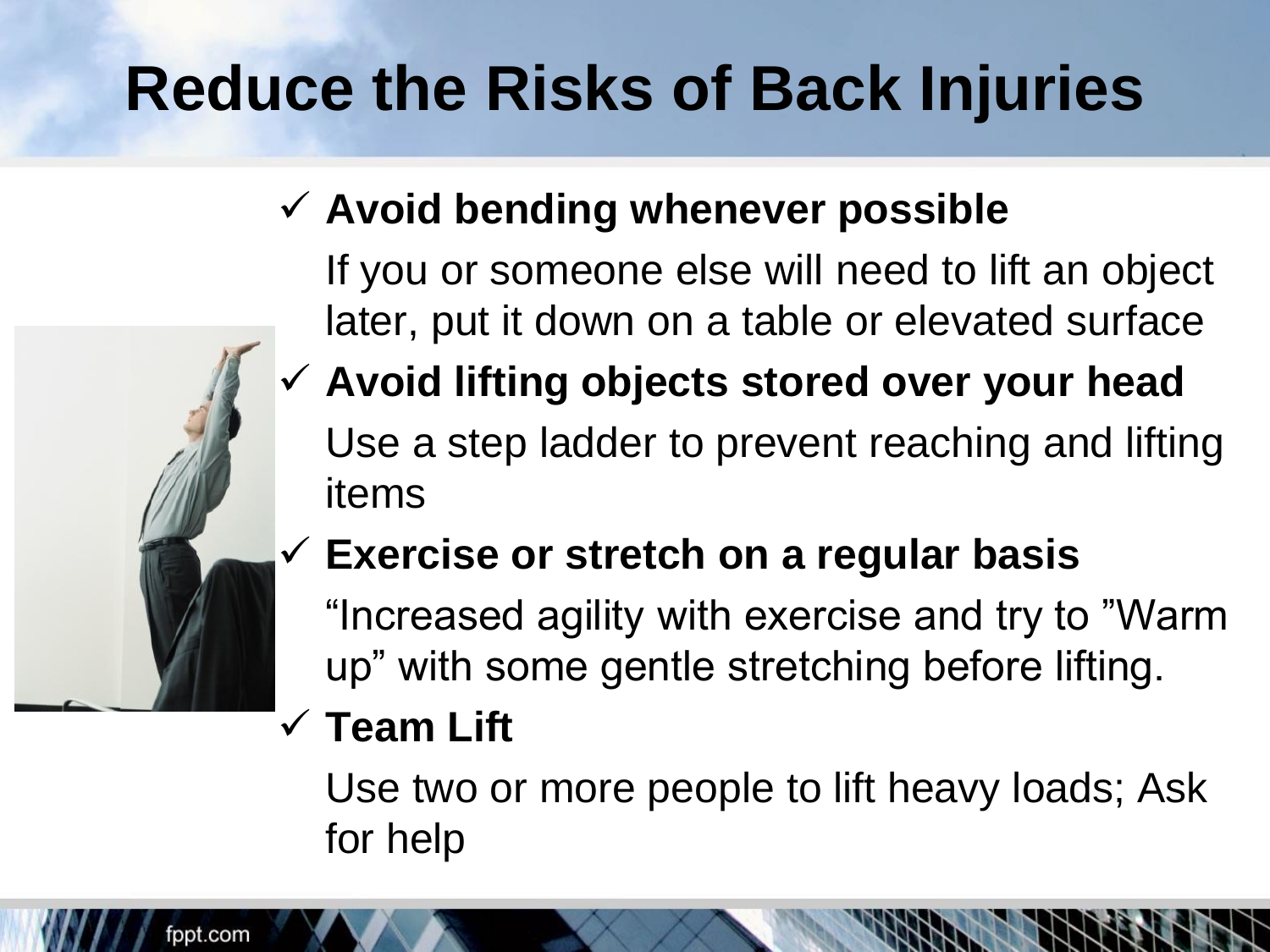## **Reduce the Risks of Back Injuries**

#### ✓ **Avoid bending whenever possible**

If you or someone else will need to lift an object later, put it down on a table or elevated surface

✓ **Avoid lifting objects stored over your head**  Use a step ladder to prevent reaching and lifting items

#### ✓ **Exercise or stretch on a regular basis**

"Increased agility with exercise and try to "Warm up" with some gentle stretching before lifting.

#### ✓ **Team Lift**

Use two or more people to lift heavy loads; Ask for help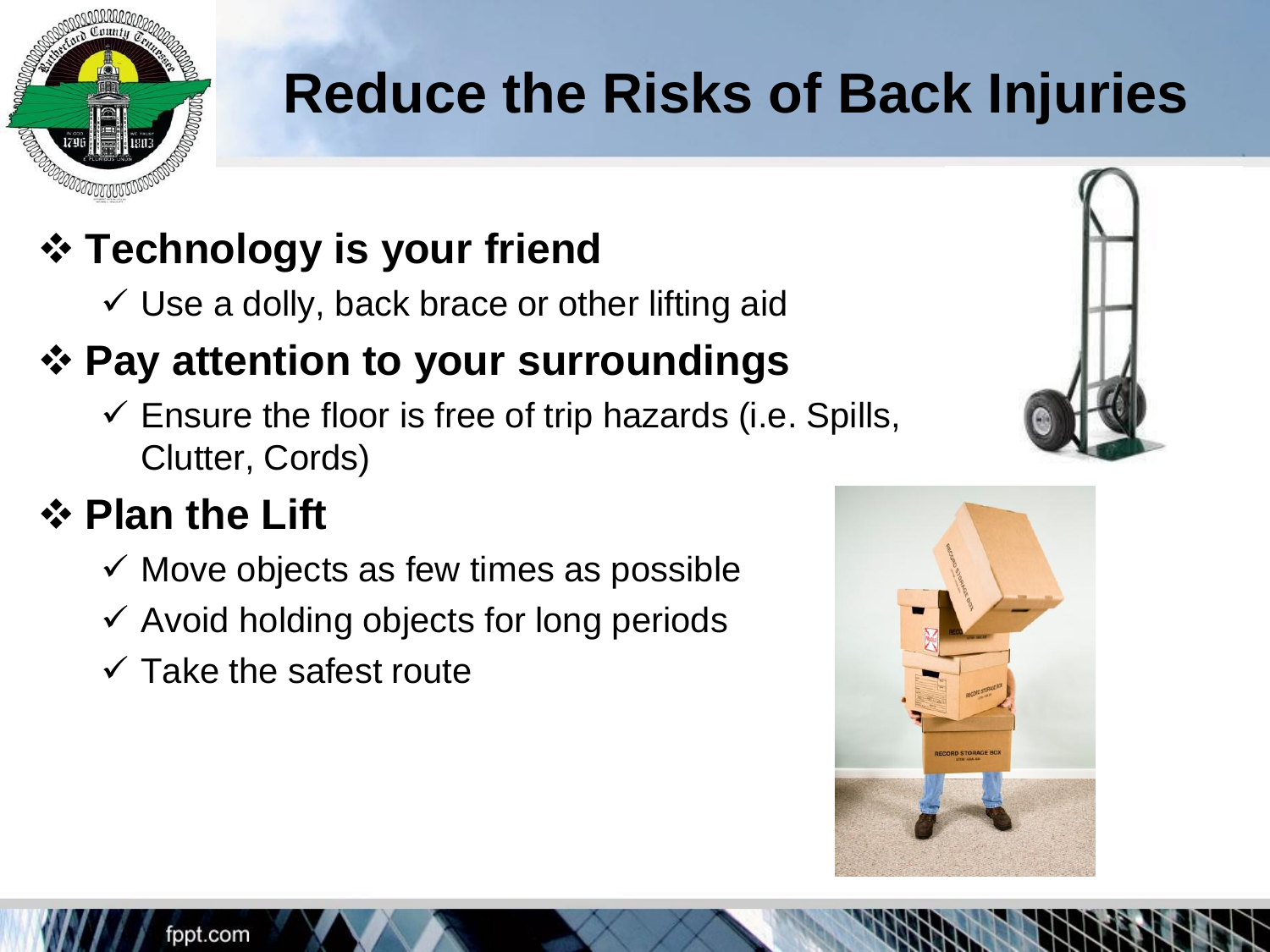

### **Reduce the Risks of Back Injuries**

#### ❖ **Technology is your friend**

 $\checkmark$  Use a dolly, back brace or other lifting aid

#### ❖ **Pay attention to your surroundings**

 $\checkmark$  Ensure the floor is free of trip hazards (i.e. Spills, Clutter, Cords)

#### ❖ **Plan the Lift**

- $\checkmark$  Move objects as few times as possible
- $\checkmark$  Avoid holding objects for long periods
- $\checkmark$  Take the safest route



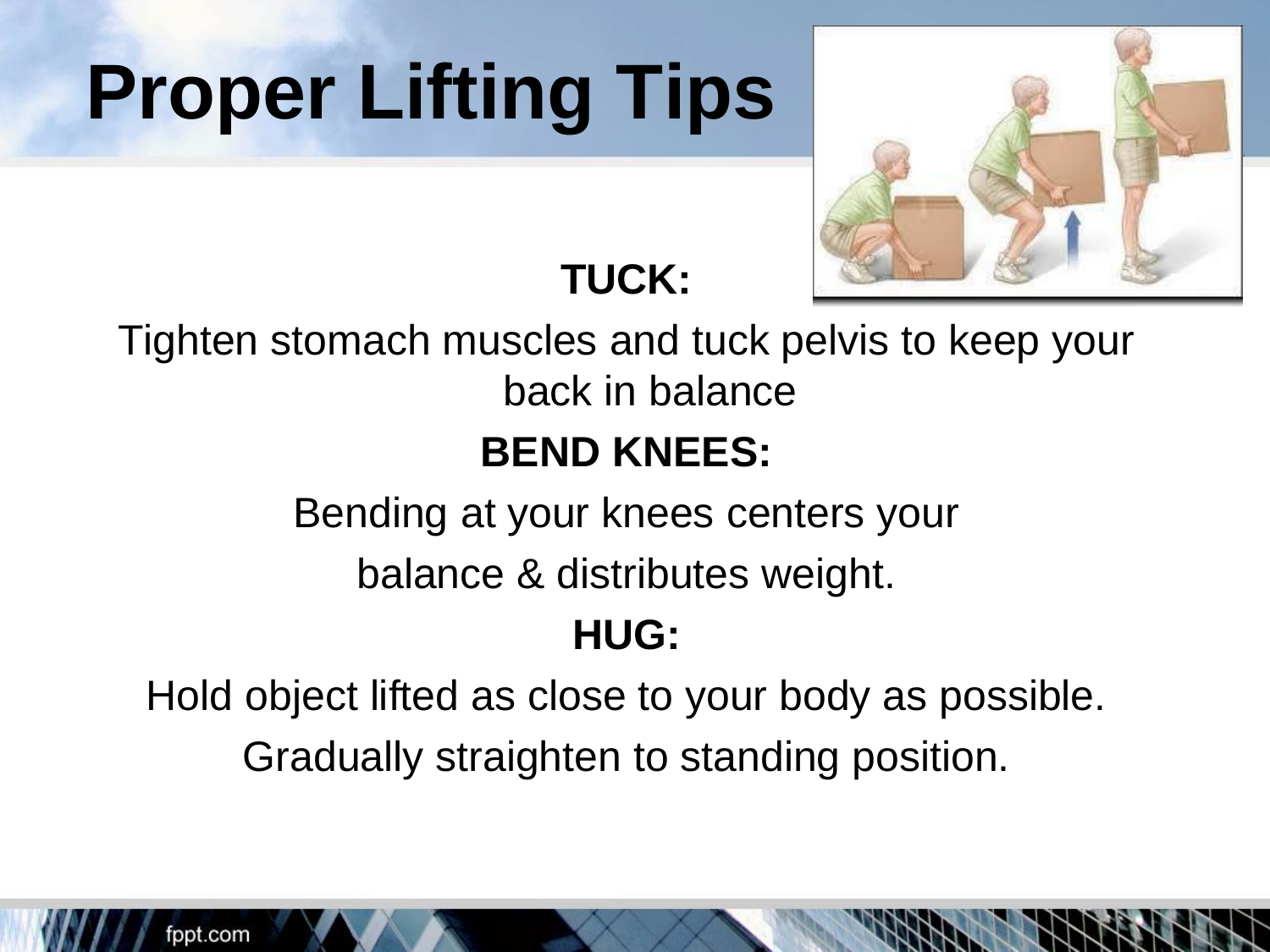# **Proper Lifting Tips**



#### **TUCK:**

Tighten stomach muscles and tuck pelvis to keep your

back in balance

#### **BEND KNEES:**

Bending at your knees centers your

balance & distributes weight.

#### **HUG:**

Hold object lifted as close to your body as possible. Gradually straighten to standing position.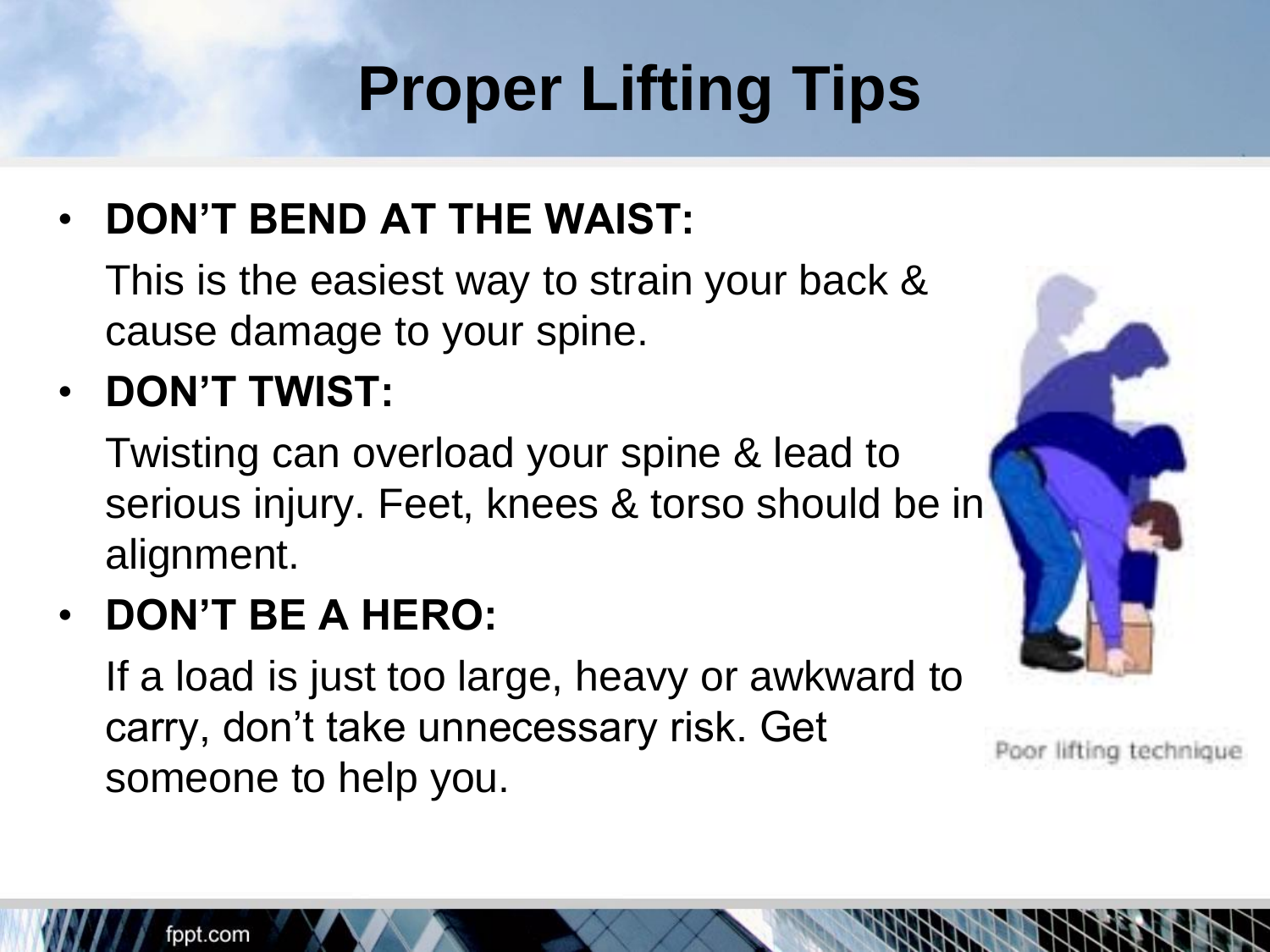## **Proper Lifting Tips**

• **DON'T BEND AT THE WAIST:** 

This is the easiest way to strain your back & cause damage to your spine.

• **DON'T TWIST:** 

Twisting can overload your spine & lead to serious injury. Feet, knees & torso should be in alignment.

• **DON'T BE A HERO:** 

If a load is just too large, heavy or awkward to carry, don't take unnecessary risk. Get someone to help you.



Poor lifting technique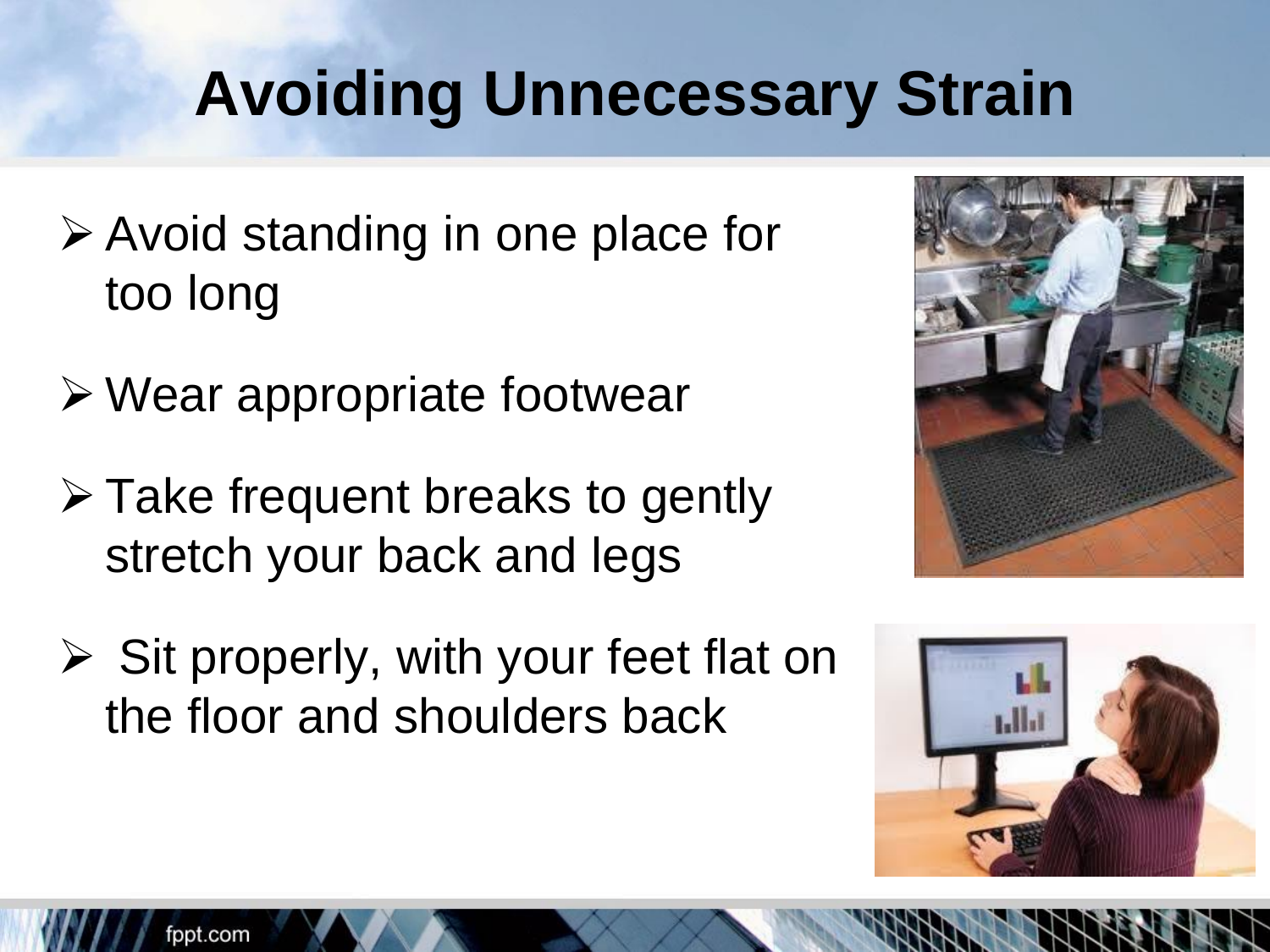## **Avoiding Unnecessary Strain**

- ➢ Avoid standing in one place for too long
- ➢ Wear appropriate footwear
- ➢ Take frequent breaks to gently stretch your back and legs
- ➢ Sit properly, with your feet flat on the floor and shoulders back



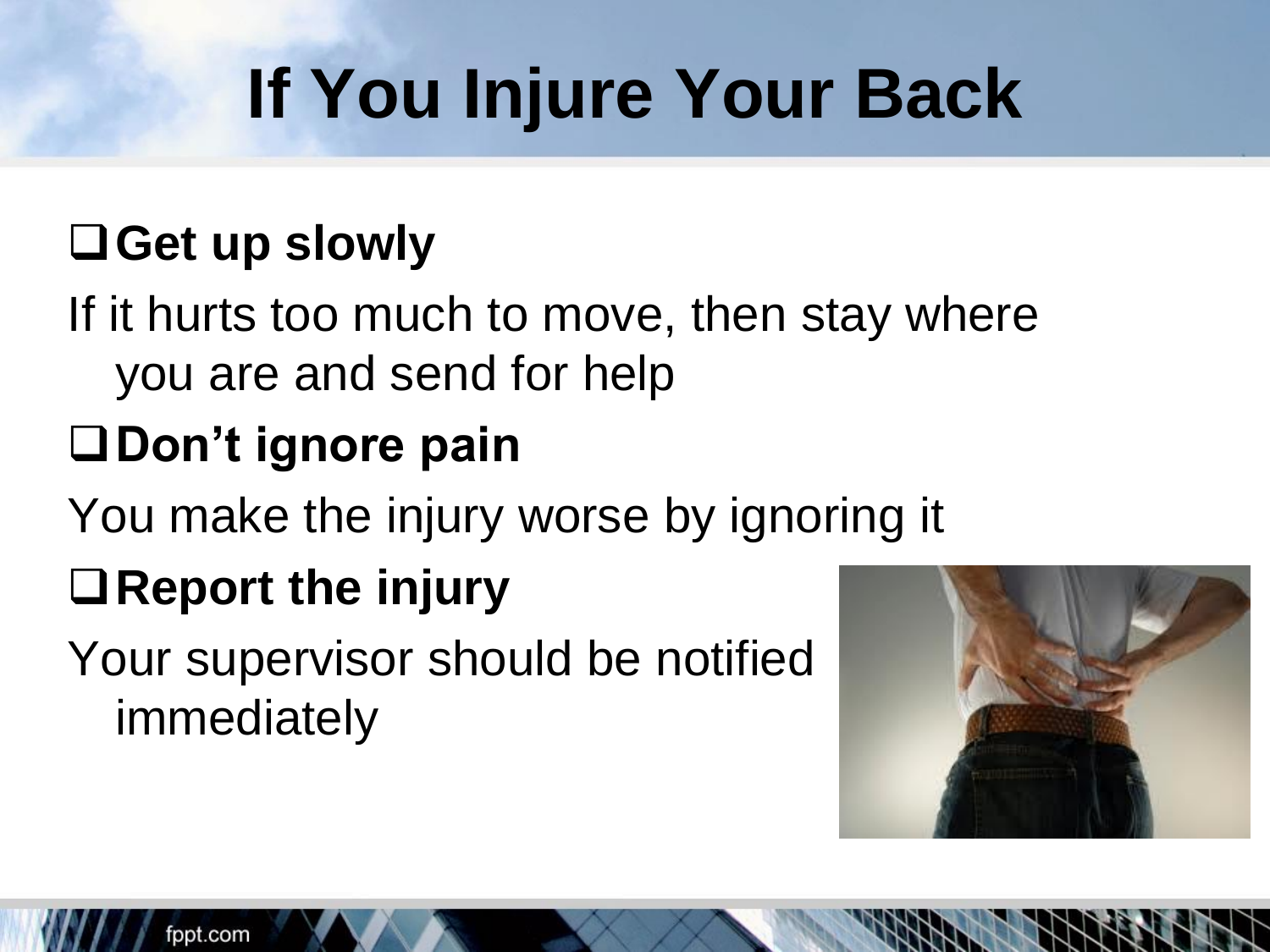## **If You Injure Your Back**

#### ❑**Get up slowly**

If it hurts too much to move, then stay where you are and send for help

### ❑**Don't ignore pain**

You make the injury worse by ignoring it

### ❑**Report the injury**

Your supervisor should be notified immediately

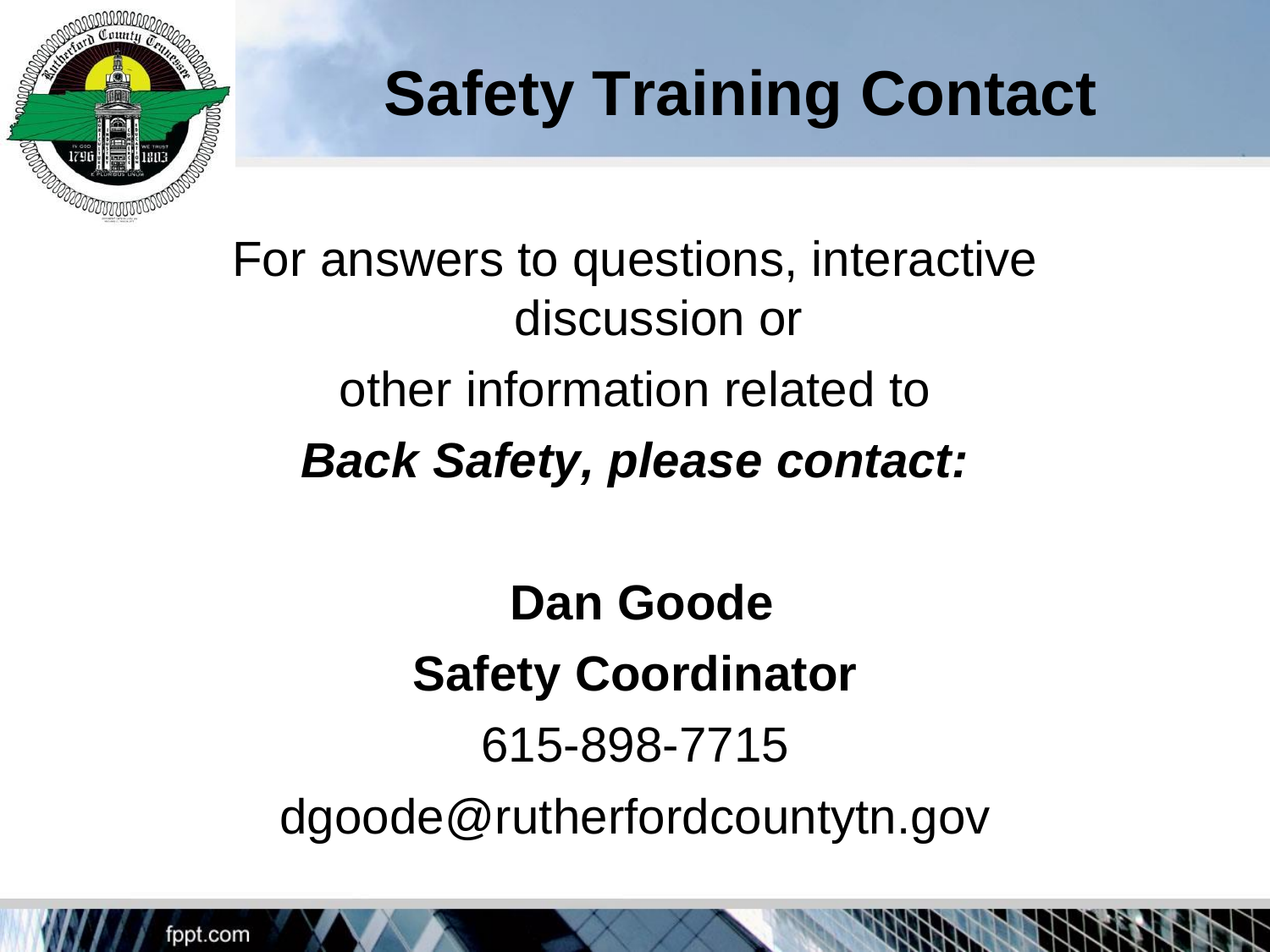

## **Safety Training Contact**

For answers to questions, interactive discussion or other information related to *Back Safety, please contact:* 

**Dan Goode Safety Coordinator**  615-898-7715 dgoode@rutherfordcountytn.gov